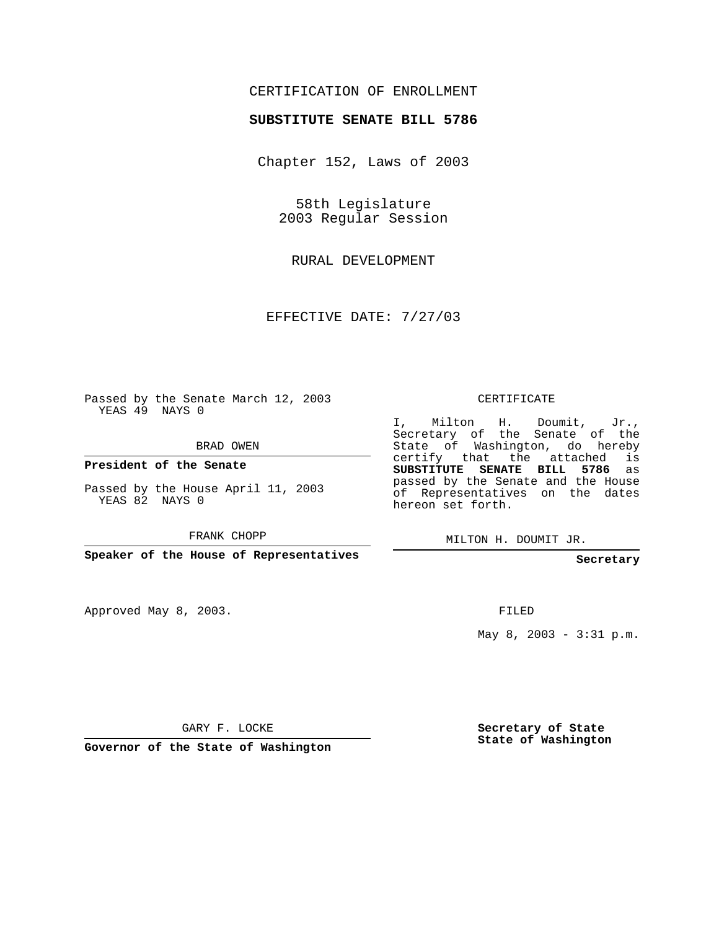## CERTIFICATION OF ENROLLMENT

## **SUBSTITUTE SENATE BILL 5786**

Chapter 152, Laws of 2003

58th Legislature 2003 Regular Session

RURAL DEVELOPMENT

EFFECTIVE DATE: 7/27/03

Passed by the Senate March 12, 2003 YEAS 49 NAYS 0

BRAD OWEN

**President of the Senate**

Passed by the House April 11, 2003 YEAS 82 NAYS 0

FRANK CHOPP

**Speaker of the House of Representatives**

Approved May 8, 2003.

CERTIFICATE

I, Milton H. Doumit, Jr., Secretary of the Senate of the State of Washington, do hereby certify that the attached is **SUBSTITUTE SENATE BILL 5786** as passed by the Senate and the House of Representatives on the dates hereon set forth.

MILTON H. DOUMIT JR.

**Secretary**

FILED

May 8, 2003 - 3:31 p.m.

GARY F. LOCKE

**Governor of the State of Washington**

**Secretary of State State of Washington**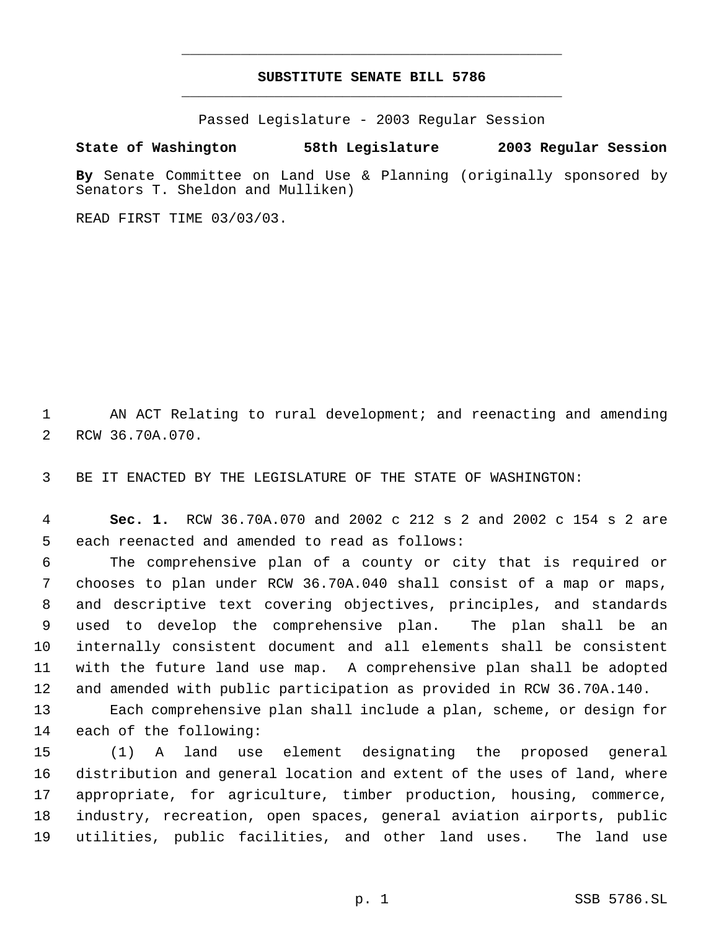## **SUBSTITUTE SENATE BILL 5786** \_\_\_\_\_\_\_\_\_\_\_\_\_\_\_\_\_\_\_\_\_\_\_\_\_\_\_\_\_\_\_\_\_\_\_\_\_\_\_\_\_\_\_\_\_

\_\_\_\_\_\_\_\_\_\_\_\_\_\_\_\_\_\_\_\_\_\_\_\_\_\_\_\_\_\_\_\_\_\_\_\_\_\_\_\_\_\_\_\_\_

Passed Legislature - 2003 Regular Session

**State of Washington 58th Legislature 2003 Regular Session**

**By** Senate Committee on Land Use & Planning (originally sponsored by Senators T. Sheldon and Mulliken)

READ FIRST TIME 03/03/03.

 AN ACT Relating to rural development; and reenacting and amending RCW 36.70A.070.

BE IT ENACTED BY THE LEGISLATURE OF THE STATE OF WASHINGTON:

 **Sec. 1.** RCW 36.70A.070 and 2002 c 212 s 2 and 2002 c 154 s 2 are each reenacted and amended to read as follows:

 The comprehensive plan of a county or city that is required or chooses to plan under RCW 36.70A.040 shall consist of a map or maps, and descriptive text covering objectives, principles, and standards used to develop the comprehensive plan. The plan shall be an internally consistent document and all elements shall be consistent with the future land use map. A comprehensive plan shall be adopted and amended with public participation as provided in RCW 36.70A.140.

 Each comprehensive plan shall include a plan, scheme, or design for each of the following:

 (1) A land use element designating the proposed general distribution and general location and extent of the uses of land, where appropriate, for agriculture, timber production, housing, commerce, industry, recreation, open spaces, general aviation airports, public utilities, public facilities, and other land uses. The land use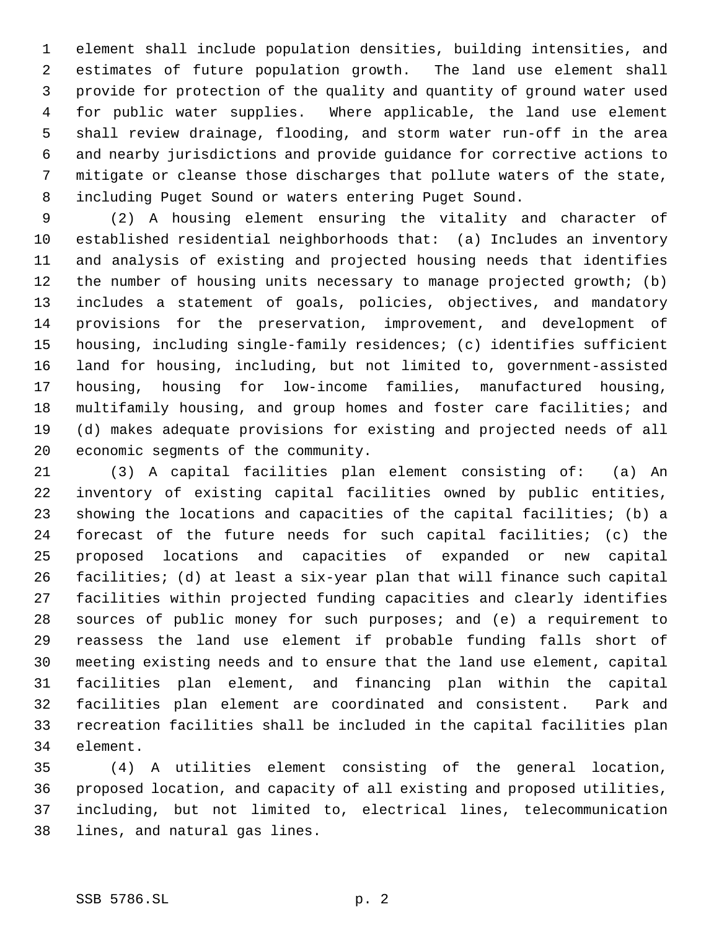element shall include population densities, building intensities, and estimates of future population growth. The land use element shall provide for protection of the quality and quantity of ground water used for public water supplies. Where applicable, the land use element shall review drainage, flooding, and storm water run-off in the area and nearby jurisdictions and provide guidance for corrective actions to mitigate or cleanse those discharges that pollute waters of the state, including Puget Sound or waters entering Puget Sound.

 (2) A housing element ensuring the vitality and character of established residential neighborhoods that: (a) Includes an inventory and analysis of existing and projected housing needs that identifies the number of housing units necessary to manage projected growth; (b) includes a statement of goals, policies, objectives, and mandatory provisions for the preservation, improvement, and development of housing, including single-family residences; (c) identifies sufficient land for housing, including, but not limited to, government-assisted housing, housing for low-income families, manufactured housing, multifamily housing, and group homes and foster care facilities; and (d) makes adequate provisions for existing and projected needs of all economic segments of the community.

 (3) A capital facilities plan element consisting of: (a) An inventory of existing capital facilities owned by public entities, showing the locations and capacities of the capital facilities; (b) a forecast of the future needs for such capital facilities; (c) the proposed locations and capacities of expanded or new capital facilities; (d) at least a six-year plan that will finance such capital facilities within projected funding capacities and clearly identifies sources of public money for such purposes; and (e) a requirement to reassess the land use element if probable funding falls short of meeting existing needs and to ensure that the land use element, capital facilities plan element, and financing plan within the capital facilities plan element are coordinated and consistent. Park and recreation facilities shall be included in the capital facilities plan element.

 (4) A utilities element consisting of the general location, proposed location, and capacity of all existing and proposed utilities, including, but not limited to, electrical lines, telecommunication lines, and natural gas lines.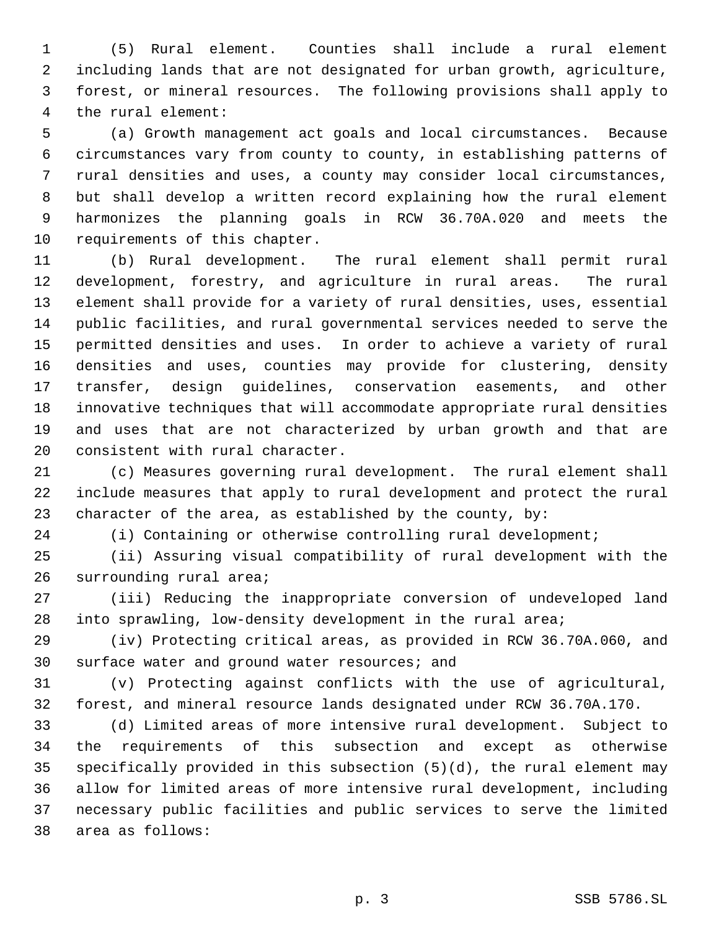(5) Rural element. Counties shall include a rural element including lands that are not designated for urban growth, agriculture, forest, or mineral resources. The following provisions shall apply to the rural element:

 (a) Growth management act goals and local circumstances. Because circumstances vary from county to county, in establishing patterns of rural densities and uses, a county may consider local circumstances, but shall develop a written record explaining how the rural element harmonizes the planning goals in RCW 36.70A.020 and meets the requirements of this chapter.

 (b) Rural development. The rural element shall permit rural development, forestry, and agriculture in rural areas. The rural element shall provide for a variety of rural densities, uses, essential public facilities, and rural governmental services needed to serve the permitted densities and uses. In order to achieve a variety of rural densities and uses, counties may provide for clustering, density transfer, design guidelines, conservation easements, and other innovative techniques that will accommodate appropriate rural densities and uses that are not characterized by urban growth and that are consistent with rural character.

 (c) Measures governing rural development. The rural element shall include measures that apply to rural development and protect the rural character of the area, as established by the county, by:

(i) Containing or otherwise controlling rural development;

 (ii) Assuring visual compatibility of rural development with the surrounding rural area;

 (iii) Reducing the inappropriate conversion of undeveloped land into sprawling, low-density development in the rural area;

 (iv) Protecting critical areas, as provided in RCW 36.70A.060, and surface water and ground water resources; and

 (v) Protecting against conflicts with the use of agricultural, forest, and mineral resource lands designated under RCW 36.70A.170.

 (d) Limited areas of more intensive rural development. Subject to the requirements of this subsection and except as otherwise specifically provided in this subsection (5)(d), the rural element may allow for limited areas of more intensive rural development, including necessary public facilities and public services to serve the limited area as follows: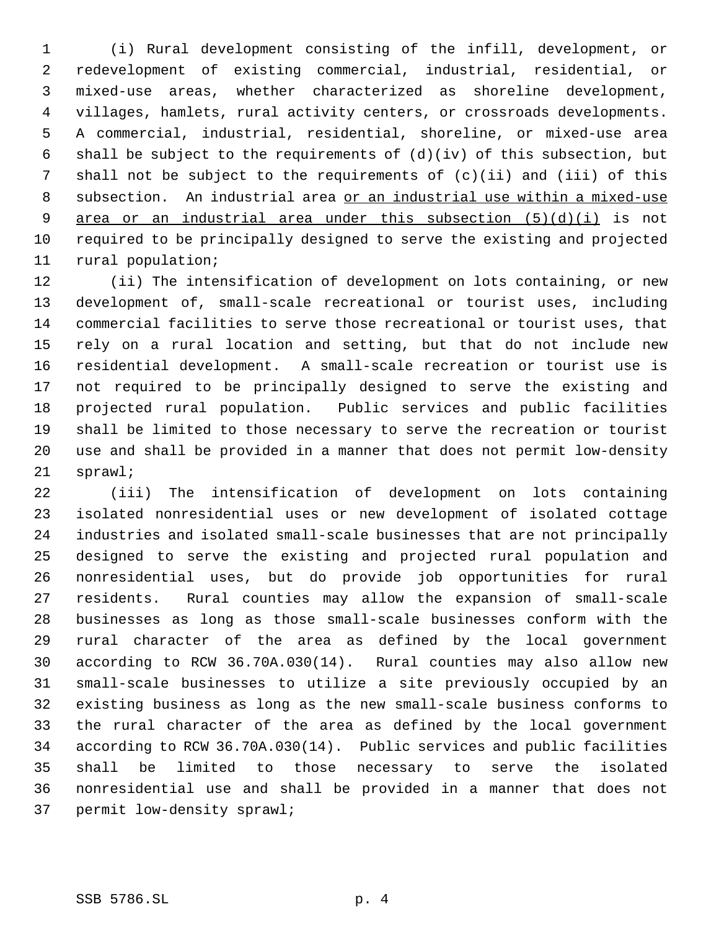(i) Rural development consisting of the infill, development, or redevelopment of existing commercial, industrial, residential, or mixed-use areas, whether characterized as shoreline development, villages, hamlets, rural activity centers, or crossroads developments. A commercial, industrial, residential, shoreline, or mixed-use area shall be subject to the requirements of (d)(iv) of this subsection, but shall not be subject to the requirements of (c)(ii) and (iii) of this subsection. An industrial area or an industrial use within a mixed-use 9 area or an industrial area under this subsection  $(5)(d)(i)$  is not required to be principally designed to serve the existing and projected rural population;

 (ii) The intensification of development on lots containing, or new development of, small-scale recreational or tourist uses, including commercial facilities to serve those recreational or tourist uses, that rely on a rural location and setting, but that do not include new residential development. A small-scale recreation or tourist use is not required to be principally designed to serve the existing and projected rural population. Public services and public facilities shall be limited to those necessary to serve the recreation or tourist use and shall be provided in a manner that does not permit low-density sprawl;

 (iii) The intensification of development on lots containing isolated nonresidential uses or new development of isolated cottage industries and isolated small-scale businesses that are not principally designed to serve the existing and projected rural population and nonresidential uses, but do provide job opportunities for rural residents. Rural counties may allow the expansion of small-scale businesses as long as those small-scale businesses conform with the rural character of the area as defined by the local government according to RCW 36.70A.030(14). Rural counties may also allow new small-scale businesses to utilize a site previously occupied by an existing business as long as the new small-scale business conforms to the rural character of the area as defined by the local government according to RCW 36.70A.030(14). Public services and public facilities shall be limited to those necessary to serve the isolated nonresidential use and shall be provided in a manner that does not permit low-density sprawl;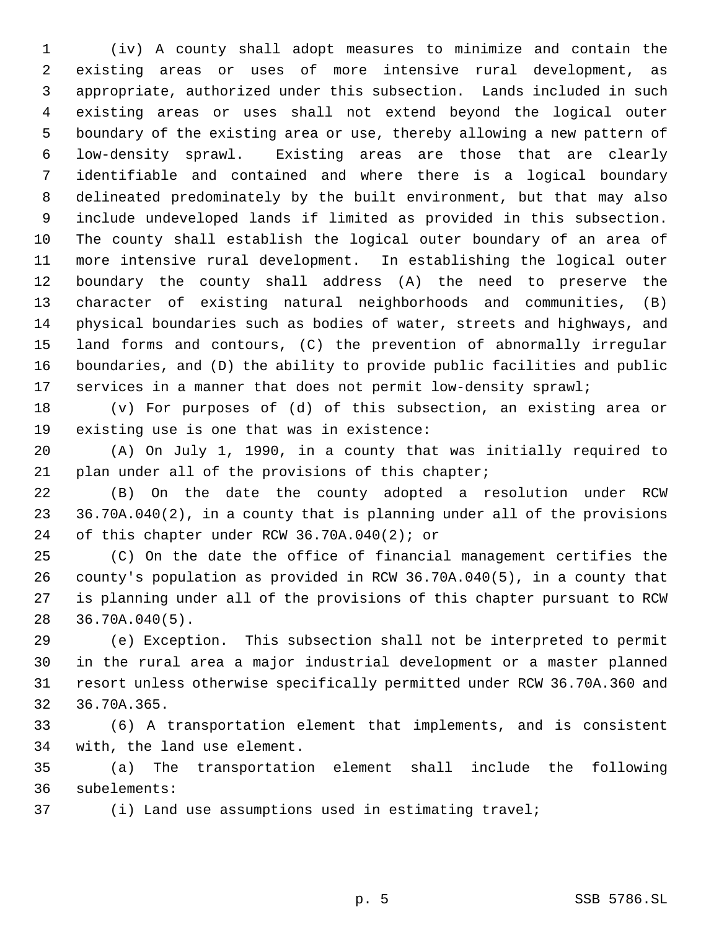(iv) A county shall adopt measures to minimize and contain the existing areas or uses of more intensive rural development, as appropriate, authorized under this subsection. Lands included in such existing areas or uses shall not extend beyond the logical outer boundary of the existing area or use, thereby allowing a new pattern of low-density sprawl. Existing areas are those that are clearly identifiable and contained and where there is a logical boundary delineated predominately by the built environment, but that may also include undeveloped lands if limited as provided in this subsection. The county shall establish the logical outer boundary of an area of more intensive rural development. In establishing the logical outer boundary the county shall address (A) the need to preserve the character of existing natural neighborhoods and communities, (B) physical boundaries such as bodies of water, streets and highways, and land forms and contours, (C) the prevention of abnormally irregular boundaries, and (D) the ability to provide public facilities and public services in a manner that does not permit low-density sprawl;

 (v) For purposes of (d) of this subsection, an existing area or existing use is one that was in existence:

 (A) On July 1, 1990, in a county that was initially required to 21 plan under all of the provisions of this chapter;

 (B) On the date the county adopted a resolution under RCW 36.70A.040(2), in a county that is planning under all of the provisions of this chapter under RCW 36.70A.040(2); or

 (C) On the date the office of financial management certifies the county's population as provided in RCW 36.70A.040(5), in a county that is planning under all of the provisions of this chapter pursuant to RCW 36.70A.040(5).

 (e) Exception. This subsection shall not be interpreted to permit in the rural area a major industrial development or a master planned resort unless otherwise specifically permitted under RCW 36.70A.360 and 36.70A.365.

 (6) A transportation element that implements, and is consistent with, the land use element.

 (a) The transportation element shall include the following subelements:

(i) Land use assumptions used in estimating travel;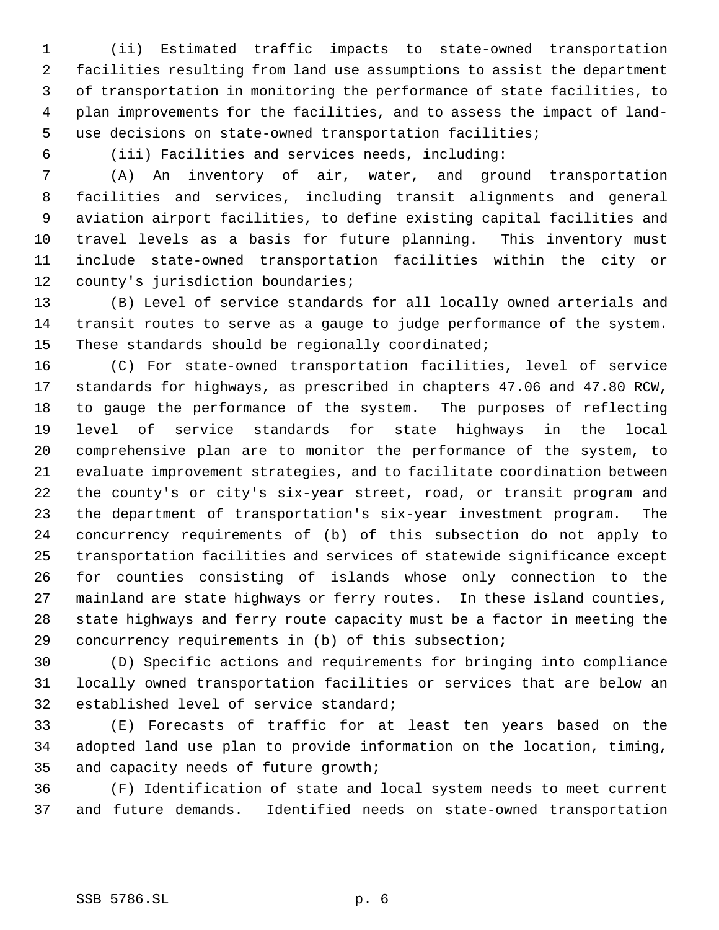(ii) Estimated traffic impacts to state-owned transportation facilities resulting from land use assumptions to assist the department of transportation in monitoring the performance of state facilities, to plan improvements for the facilities, and to assess the impact of land- use decisions on state-owned transportation facilities;

(iii) Facilities and services needs, including:

 (A) An inventory of air, water, and ground transportation facilities and services, including transit alignments and general aviation airport facilities, to define existing capital facilities and travel levels as a basis for future planning. This inventory must include state-owned transportation facilities within the city or county's jurisdiction boundaries;

 (B) Level of service standards for all locally owned arterials and transit routes to serve as a gauge to judge performance of the system. These standards should be regionally coordinated;

 (C) For state-owned transportation facilities, level of service standards for highways, as prescribed in chapters 47.06 and 47.80 RCW, to gauge the performance of the system. The purposes of reflecting level of service standards for state highways in the local comprehensive plan are to monitor the performance of the system, to evaluate improvement strategies, and to facilitate coordination between the county's or city's six-year street, road, or transit program and the department of transportation's six-year investment program. The concurrency requirements of (b) of this subsection do not apply to transportation facilities and services of statewide significance except for counties consisting of islands whose only connection to the mainland are state highways or ferry routes. In these island counties, state highways and ferry route capacity must be a factor in meeting the concurrency requirements in (b) of this subsection;

 (D) Specific actions and requirements for bringing into compliance locally owned transportation facilities or services that are below an established level of service standard;

 (E) Forecasts of traffic for at least ten years based on the adopted land use plan to provide information on the location, timing, and capacity needs of future growth;

 (F) Identification of state and local system needs to meet current and future demands. Identified needs on state-owned transportation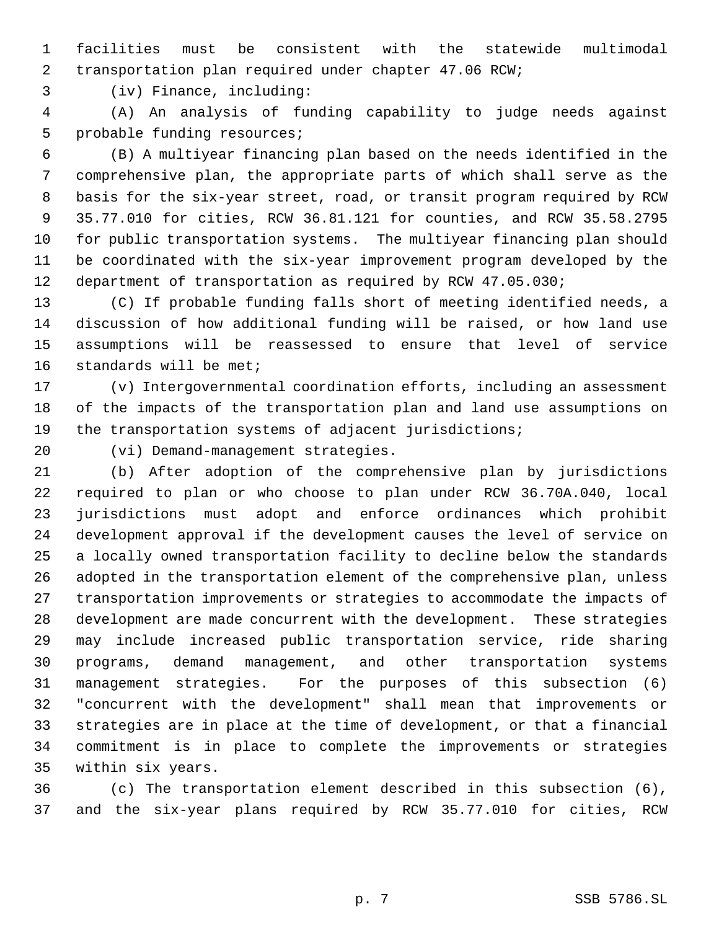facilities must be consistent with the statewide multimodal transportation plan required under chapter 47.06 RCW;

(iv) Finance, including:

 (A) An analysis of funding capability to judge needs against probable funding resources;

 (B) A multiyear financing plan based on the needs identified in the comprehensive plan, the appropriate parts of which shall serve as the basis for the six-year street, road, or transit program required by RCW 35.77.010 for cities, RCW 36.81.121 for counties, and RCW 35.58.2795 for public transportation systems. The multiyear financing plan should be coordinated with the six-year improvement program developed by the 12 department of transportation as required by RCW 47.05.030;

 (C) If probable funding falls short of meeting identified needs, a discussion of how additional funding will be raised, or how land use assumptions will be reassessed to ensure that level of service standards will be met;

 (v) Intergovernmental coordination efforts, including an assessment of the impacts of the transportation plan and land use assumptions on the transportation systems of adjacent jurisdictions;

(vi) Demand-management strategies.

 (b) After adoption of the comprehensive plan by jurisdictions required to plan or who choose to plan under RCW 36.70A.040, local jurisdictions must adopt and enforce ordinances which prohibit development approval if the development causes the level of service on a locally owned transportation facility to decline below the standards adopted in the transportation element of the comprehensive plan, unless transportation improvements or strategies to accommodate the impacts of development are made concurrent with the development. These strategies may include increased public transportation service, ride sharing programs, demand management, and other transportation systems management strategies. For the purposes of this subsection (6) "concurrent with the development" shall mean that improvements or strategies are in place at the time of development, or that a financial commitment is in place to complete the improvements or strategies within six years.

 (c) The transportation element described in this subsection (6), and the six-year plans required by RCW 35.77.010 for cities, RCW